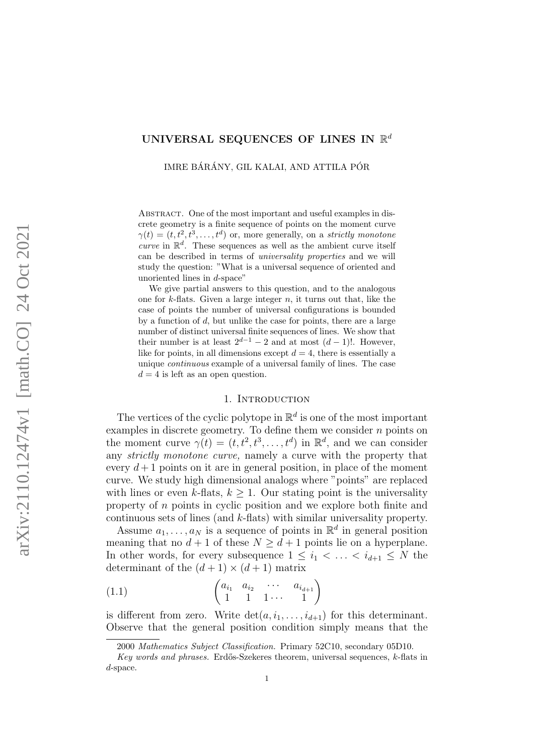# UNIVERSAL SEQUENCES OF LINES IN  $\mathbb{R}^d$

IMRE BÁRÁNY, GIL KALAI, AND ATTILA PÓR

ABSTRACT. One of the most important and useful examples in discrete geometry is a finite sequence of points on the moment curve  $\gamma(t) = (t, t^2, t^3, \dots, t^d)$  or, more generally, on a strictly monotone curve in  $\mathbb{R}^d$ . These sequences as well as the ambient curve itself can be described in terms of universality properties and we will study the question: "What is a universal sequence of oriented and unoriented lines in d-space"

We give partial answers to this question, and to the analogous one for  $k$ -flats. Given a large integer  $n$ , it turns out that, like the case of points the number of universal configurations is bounded by a function of  $d$ , but unlike the case for points, there are a large number of distinct universal finite sequences of lines. We show that their number is at least  $2^{d-1} - 2$  and at most  $(d-1)!$ . However, like for points, in all dimensions except  $d = 4$ , there is essentially a unique continuous example of a universal family of lines. The case  $d = 4$  is left as an open question.

## 1. INTRODUCTION

The vertices of the cyclic polytope in  $\mathbb{R}^d$  is one of the most important examples in discrete geometry. To define them we consider  $n$  points on the moment curve  $\gamma(t) = (t, t^2, t^3, \dots, t^d)$  in  $\mathbb{R}^d$ , and we can consider any strictly monotone curve, namely a curve with the property that every  $d+1$  points on it are in general position, in place of the moment curve. We study high dimensional analogs where "points" are replaced with lines or even k-flats,  $k > 1$ . Our stating point is the universality property of n points in cyclic position and we explore both finite and continuous sets of lines (and k-flats) with similar universality property.

Assume  $a_1, \ldots, a_N$  is a sequence of points in  $\mathbb{R}^d$  in general position meaning that no  $d+1$  of these  $N \geq d+1$  points lie on a hyperplane. In other words, for every subsequence  $1 \leq i_1 < \ldots < i_{d+1} \leq N$  the determinant of the  $(d+1) \times (d+1)$  matrix

$$
(1.1) \qquad \qquad \begin{pmatrix} a_{i_1} & a_{i_2} & \cdots & a_{i_{d+1}} \\ 1 & 1 & 1 \cdots & 1 \end{pmatrix}
$$

is different from zero. Write  $\det(a, i_1, \ldots, i_{d+1})$  for this determinant. Observe that the general position condition simply means that the

<sup>2000</sup> Mathematics Subject Classification. Primary 52C10, secondary 05D10.

Key words and phrases. Erdős-Szekeres theorem, universal sequences,  $k$ -flats in d-space.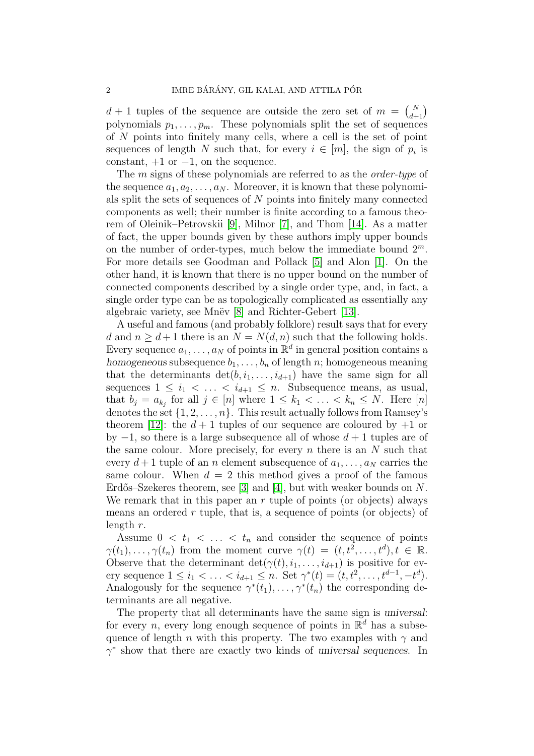$d+1$  tuples of the sequence are outside the zero set of  $m = \binom{N}{d+1}$ polynomials  $p_1, \ldots, p_m$ . These polynomials split the set of sequences of N points into finitely many cells, where a cell is the set of point sequences of length N such that, for every  $i \in [m]$ , the sign of  $p_i$  is constant,  $+1$  or  $-1$ , on the sequence.

The *m* signs of these polynomials are referred to as the *order-type* of the sequence  $a_1, a_2, \ldots, a_N$ . Moreover, it is known that these polynomials split the sets of sequences of N points into finitely many connected components as well; their number is finite according to a famous theorem of Oleinik–Petrovskii [\[9\]](#page-19-0), Milnor [\[7\]](#page-19-1), and Thom [\[14\]](#page-20-0). As a matter of fact, the upper bounds given by these authors imply upper bounds on the number of order-types, much below the immediate bound  $2^m$ . For more details see Goodman and Pollack [\[5\]](#page-19-2) and Alon [\[1\]](#page-19-3). On the other hand, it is known that there is no upper bound on the number of connected components described by a single order type, and, in fact, a single order type can be as topologically complicated as essentially any algebraic variety, see Mnëv  $[8]$  and Richter-Gebert  $[13]$ .

A useful and famous (and probably folklore) result says that for every d and  $n \geq d+1$  there is an  $N = N(d, n)$  such that the following holds. Every sequence  $a_1, \ldots, a_N$  of points in  $\mathbb{R}^d$  in general position contains a homogeneous subsequence  $b_1, \ldots, b_n$  of length n; homogeneous meaning that the determinants  $\det(b, i_1, \ldots, i_{d+1})$  have the same sign for all sequences  $1 \leq i_1 < \ldots < i_{d+1} \leq n$ . Subsequence means, as usual, that  $b_j = a_{k_j}$  for all  $j \in [n]$  where  $1 \leq k_1 < \ldots < k_n \leq N$ . Here  $[n]$ denotes the set  $\{1, 2, \ldots, n\}$ . This result actually follows from Ramsey's theorem [\[12\]](#page-20-2): the  $d+1$  tuples of our sequence are coloured by  $+1$  or by  $-1$ , so there is a large subsequence all of whose  $d+1$  tuples are of the same colour. More precisely, for every  $n$  there is an  $N$  such that every  $d+1$  tuple of an n element subsequence of  $a_1, \ldots, a_N$  carries the same colour. When  $d = 2$  this method gives a proof of the famous Erdős–Szekeres theorem, see [\[3\]](#page-19-5) and [\[4\]](#page-19-6), but with weaker bounds on  $N$ . We remark that in this paper an  $r$  tuple of points (or objects) always means an ordered r tuple, that is, a sequence of points (or objects) of length r.

Assume  $0 < t_1 < \ldots < t_n$  and consider the sequence of points  $\gamma(t_1), \ldots, \gamma(t_n)$  from the moment curve  $\gamma(t) = (t, t^2, \ldots, t^d), t \in \mathbb{R}$ . Observe that the determinant  $\det(\gamma(t), i_1, \ldots, i_{d+1})$  is positive for every sequence  $1 \le i_1 < \ldots < i_{d+1} \le n$ . Set  $\gamma^*(t) = (t, t^2, \ldots, t^{d-1}, -t^d)$ . Analogously for the sequence  $\gamma^*(t_1), \ldots, \gamma^*(t_n)$  the corresponding determinants are all negative.

The property that all determinants have the same sign is universal: for every n, every long enough sequence of points in  $\mathbb{R}^d$  has a subsequence of length n with this property. The two examples with  $\gamma$  and  $\gamma^*$  show that there are exactly two kinds of universal sequences. In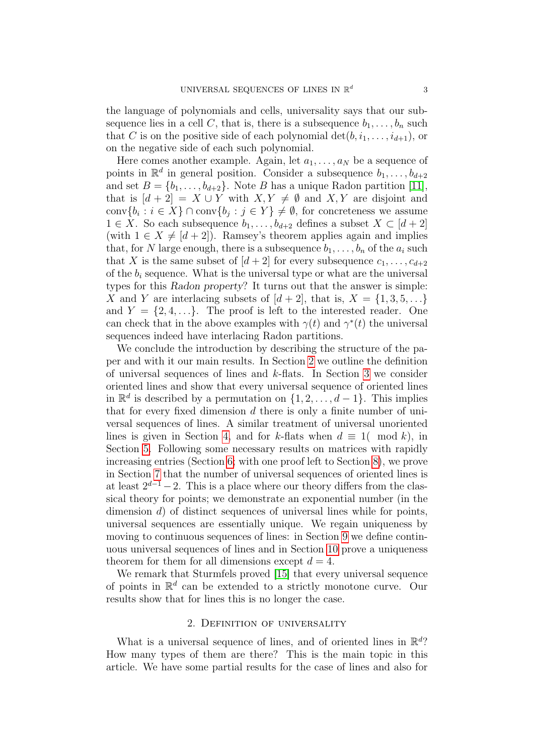the language of polynomials and cells, universality says that our subsequence lies in a cell C, that is, there is a subsequence  $b_1, \ldots, b_n$  such that C is on the positive side of each polynomial  $\det(b, i_1, \ldots, i_{d+1})$ , or on the negative side of each such polynomial.

Here comes another example. Again, let  $a_1, \ldots, a_N$  be a sequence of points in  $\mathbb{R}^d$  in general position. Consider a subsequence  $b_1, \ldots, b_{d+2}$ and set  $B = \{b_1, \ldots, b_{d+2}\}\.$  Note B has a unique Radon partition [\[11\]](#page-20-3), that is  $[d + 2] = X \cup Y$  with  $X, Y \neq \emptyset$  and  $X, Y$  are disjoint and conv $\{b_i : i \in X\} \cap \text{conv}\{b_j : j \in Y\} \neq \emptyset$ , for concreteness we assume  $1 \in X$ . So each subsequence  $b_1, \ldots, b_{d+2}$  defines a subset  $X \subset [d+2]$ (with  $1 \in X \neq [d + 2]$ ). Ramsey's theorem applies again and implies that, for N large enough, there is a subsequence  $b_1, \ldots, b_n$  of the  $a_i$  such that X is the same subset of  $[d+2]$  for every subsequence  $c_1, \ldots, c_{d+2}$ of the  $b_i$  sequence. What is the universal type or what are the universal types for this Radon property? It turns out that the answer is simple: X and Y are interlacing subsets of  $[d+2]$ , that is,  $X = \{1, 3, 5, \ldots\}$ and  $Y = \{2, 4, ...\}$ . The proof is left to the interested reader. One can check that in the above examples with  $\gamma(t)$  and  $\gamma^*(t)$  the universal sequences indeed have interlacing Radon partitions.

We conclude the introduction by describing the structure of the paper and with it our main results. In Section [2](#page-2-0) we outline the definition of universal sequences of lines and k-flats. In Section [3](#page-3-0) we consider oriented lines and show that every universal sequence of oriented lines in  $\mathbb{R}^d$  is described by a permutation on  $\{1, 2, \ldots, d-1\}$ . This implies that for every fixed dimension  $d$  there is only a finite number of universal sequences of lines. A similar treatment of universal unoriented lines is given in Section [4,](#page-5-0) and for k-flats when  $d \equiv 1 \pmod{k}$ , in Section [5.](#page-7-0) Following some necessary results on matrices with rapidly increasing entries (Section [6;](#page-8-0) with one proof left to Section [8\)](#page-12-0), we prove in Section [7](#page-9-0) that the number of universal sequences of oriented lines is at least  $2^{d-1} - 2$ . This is a place where our theory differs from the classical theory for points; we demonstrate an exponential number (in the dimension d) of distinct sequences of universal lines while for points, universal sequences are essentially unique. We regain uniqueness by moving to continuous sequences of lines: in Section [9](#page-13-0) we define continuous universal sequences of lines and in Section [10](#page-15-0) prove a uniqueness theorem for them for all dimensions except  $d = 4$ .

We remark that Sturmfels proved [\[15\]](#page-20-4) that every universal sequence of points in  $\mathbb{R}^d$  can be extended to a strictly monotone curve. Our results show that for lines this is no longer the case.

## 2. Definition of universality

<span id="page-2-0"></span>What is a universal sequence of lines, and of oriented lines in  $\mathbb{R}^d$ ? How many types of them are there? This is the main topic in this article. We have some partial results for the case of lines and also for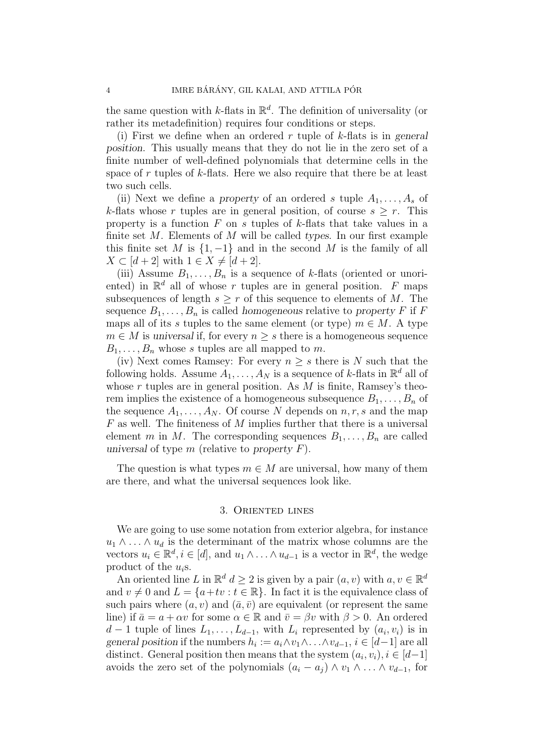the same question with k-flats in  $\mathbb{R}^d$ . The definition of universality (or rather its metadefinition) requires four conditions or steps.

(i) First we define when an ordered r tuple of k-flats is in general position. This usually means that they do not lie in the zero set of a finite number of well-defined polynomials that determine cells in the space of  $r$  tuples of  $k$ -flats. Here we also require that there be at least two such cells.

(ii) Next we define a property of an ordered s tuple  $A_1, \ldots, A_s$  of k-flats whose r tuples are in general position, of course  $s \geq r$ . This property is a function  $F$  on s tuples of  $k$ -flats that take values in a finite set  $M$ . Elements of  $M$  will be called types. In our first example this finite set M is  $\{1, -1\}$  and in the second M is the family of all  $X \subset [d+2]$  with  $1 \in X \neq [d+2]$ .

(iii) Assume  $B_1, \ldots, B_n$  is a sequence of k-flats (oriented or unoriented) in  $\mathbb{R}^d$  all of whose r tuples are in general position. F maps subsequences of length  $s \geq r$  of this sequence to elements of M. The sequence  $B_1, \ldots, B_n$  is called homogeneous relative to property F if F maps all of its s tuples to the same element (or type)  $m \in M$ . A type  $m \in M$  is universal if, for every  $n \geq s$  there is a homogeneous sequence  $B_1, \ldots, B_n$  whose s tuples are all mapped to m.

(iv) Next comes Ramsey: For every  $n \geq s$  there is N such that the following holds. Assume  $A_1, \ldots, A_N$  is a sequence of k-flats in  $\mathbb{R}^d$  all of whose  $r$  tuples are in general position. As  $M$  is finite, Ramsey's theorem implies the existence of a homogeneous subsequence  $B_1, \ldots, B_n$  of the sequence  $A_1, \ldots, A_N$ . Of course N depends on  $n, r, s$  and the map F as well. The finiteness of M implies further that there is a universal element m in M. The corresponding sequences  $B_1, \ldots, B_n$  are called universal of type  $m$  (relative to property  $F$ ).

The question is what types  $m \in M$  are universal, how many of them are there, and what the universal sequences look like.

#### 3. Oriented lines

<span id="page-3-0"></span>We are going to use some notation from exterior algebra, for instance  $u_1 \wedge \ldots \wedge u_d$  is the determinant of the matrix whose columns are the vectors  $u_i \in \mathbb{R}^d, i \in [d]$ , and  $u_1 \wedge \ldots \wedge u_{d-1}$  is a vector in  $\mathbb{R}^d$ , the wedge product of the  $u_i$ s.

An oriented line L in  $\mathbb{R}^d$   $d \geq 2$  is given by a pair  $(a, v)$  with  $a, v \in \mathbb{R}^d$ and  $v \neq 0$  and  $L = \{a + tv : t \in \mathbb{R}\}\$ . In fact it is the equivalence class of such pairs where  $(a, v)$  and  $(\bar{a}, \bar{v})$  are equivalent (or represent the same line) if  $\bar{a} = a + \alpha v$  for some  $\alpha \in \mathbb{R}$  and  $\bar{v} = \beta v$  with  $\beta > 0$ . An ordered  $d-1$  tuple of lines  $L_1, \ldots, L_{d-1}$ , with  $L_i$  represented by  $(a_i, v_i)$  is in general position if the numbers  $h_i := a_i \wedge v_1 \wedge \ldots \wedge v_{d-1}, i \in [d-1]$  are all distinct. General position then means that the system  $(a_i, v_i), i \in [d-1]$ avoids the zero set of the polynomials  $(a_i - a_j) \wedge v_1 \wedge \ldots \wedge v_{d-1}$ , for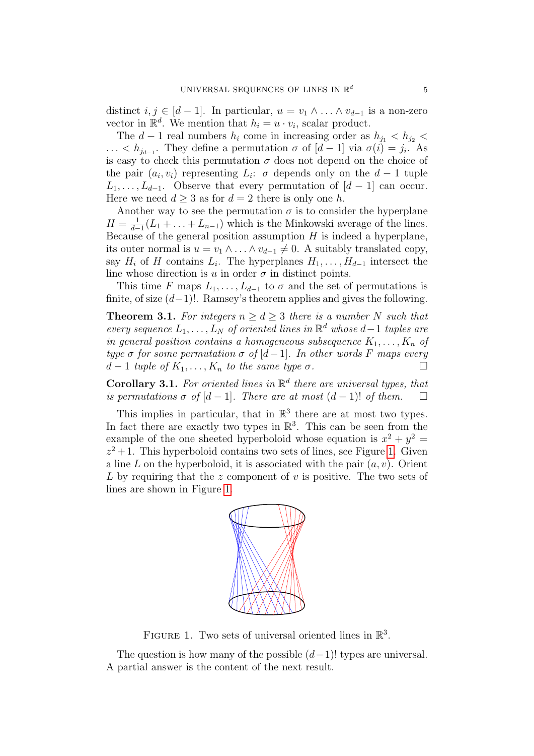distinct  $i, j \in [d-1]$ . In particular,  $u = v_1 \wedge \ldots \wedge v_{d-1}$  is a non-zero vector in  $\mathbb{R}^d$ . We mention that  $h_i = u \cdot v_i$ , scalar product.

The  $d-1$  real numbers  $h_i$  come in increasing order as  $h_{j_1} < h_{j_2} <$ ... <  $h_{j_{d-1}}$ . They define a permutation  $\sigma$  of  $[d-1]$  via  $\sigma(i) = j_i$ . As is easy to check this permutation  $\sigma$  does not depend on the choice of the pair  $(a_i, v_i)$  representing  $L_i$ :  $\sigma$  depends only on the  $d-1$  tuple  $L_1, \ldots, L_{d-1}$ . Observe that every permutation of  $[d-1]$  can occur. Here we need  $d \geq 3$  as for  $d = 2$  there is only one h.

Another way to see the permutation  $\sigma$  is to consider the hyperplane  $H=\frac{1}{d}$  $\frac{1}{d-1}(L_1+\ldots+L_{n-1})$  which is the Minkowski average of the lines. Because of the general position assumption  $H$  is indeed a hyperplane, its outer normal is  $u = v_1 \wedge \ldots \wedge v_{d-1} \neq 0$ . A suitably translated copy, say  $H_i$  of H contains  $L_i$ . The hyperplanes  $H_1, \ldots, H_{d-1}$  intersect the line whose direction is u in order  $\sigma$  in distinct points.

This time F maps  $L_1, \ldots, L_{d-1}$  to  $\sigma$  and the set of permutations is finite, of size  $(d-1)!$ . Ramsey's theorem applies and gives the following.

**Theorem 3.1.** For integers  $n \geq d \geq 3$  there is a number N such that every sequence  $L_1, \ldots, L_N$  of oriented lines in  $\mathbb{R}^d$  whose  $d-1$  tuples are in general position contains a homogeneous subsequence  $K_1, \ldots, K_n$  of type  $\sigma$  for some permutation  $\sigma$  of  $[d-1]$ . In other words F maps every  $d-1$  tuple of  $K_1, \ldots, K_n$  to the same type  $\sigma$ .

**Corollary 3.1.** For oriented lines in  $\mathbb{R}^d$  there are universal types, that is permutations  $\sigma$  of  $[d-1]$ . There are at most  $(d-1)!$  of them.  $\Box$ 

This implies in particular, that in  $\mathbb{R}^3$  there are at most two types. In fact there are exactly two types in  $\mathbb{R}^3$ . This can be seen from the example of the one sheeted hyperboloid whose equation is  $x^2 + y^2 =$  $z^2 + 1$ . This hyperboloid contains two sets of lines, see Figure [1.](#page-4-0) Given a line L on the hyperboloid, it is associated with the pair  $(a, v)$ . Orient L by requiring that the z component of v is positive. The two sets of lines are shown in Figure [1.](#page-4-0)



<span id="page-4-0"></span>FIGURE 1. Two sets of universal oriented lines in  $\mathbb{R}^3$ .

The question is how many of the possible  $(d-1)!$  types are universal. A partial answer is the content of the next result.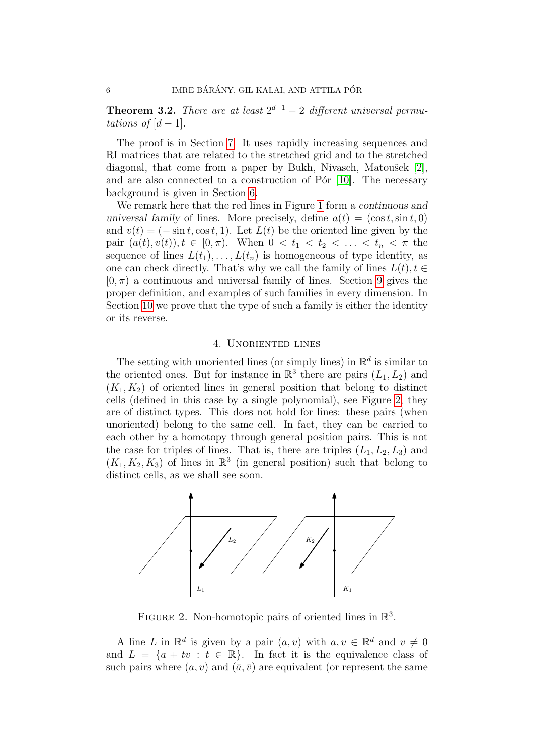<span id="page-5-2"></span>**Theorem 3.2.** There are at least  $2^{d-1} - 2$  different universal permutations of  $[d-1]$ .

The proof is in Section [7.](#page-9-0) It uses rapidly increasing sequences and RI matrices that are related to the stretched grid and to the stretched diagonal, that come from a paper by Bukh, Nivasch, Matoušek  $[2]$ , and are also connected to a construction of P $\acute{o}r$  [\[10\]](#page-20-5). The necessary background is given in Section [6.](#page-8-0)

We remark here that the red lines in Figure [1](#page-4-0) form a *continuous* and universal family of lines. More precisely, define  $a(t) = (\cos t, \sin t, 0)$ and  $v(t) = (-\sin t, \cos t, 1)$ . Let  $L(t)$  be the oriented line given by the pair  $(a(t), v(t)), t \in [0, \pi)$ . When  $0 < t_1 < t_2 < \ldots < t_n < \pi$  the sequence of lines  $L(t_1), \ldots, L(t_n)$  is homogeneous of type identity, as one can check directly. That's why we call the family of lines  $L(t)$ ,  $t \in$  $[0, \pi)$  a continuous and universal family of lines. Section [9](#page-13-0) gives the proper definition, and examples of such families in every dimension. In Section [10](#page-15-0) we prove that the type of such a family is either the identity or its reverse.

### 4. Unoriented lines

<span id="page-5-0"></span>The setting with unoriented lines (or simply lines) in  $\mathbb{R}^d$  is similar to the oriented ones. But for instance in  $\mathbb{R}^3$  there are pairs  $(L_1, L_2)$  and  $(K_1, K_2)$  of oriented lines in general position that belong to distinct cells (defined in this case by a single polynomial), see Figure [2,](#page-5-1) they are of distinct types. This does not hold for lines: these pairs (when unoriented) belong to the same cell. In fact, they can be carried to each other by a homotopy through general position pairs. This is not the case for triples of lines. That is, there are triples  $(L_1, L_2, L_3)$  and  $(K_1, K_2, K_3)$  of lines in  $\mathbb{R}^3$  (in general position) such that belong to distinct cells, as we shall see soon.



<span id="page-5-1"></span>FIGURE 2. Non-homotopic pairs of oriented lines in  $\mathbb{R}^3$ .

A line L in  $\mathbb{R}^d$  is given by a pair  $(a, v)$  with  $a, v \in \mathbb{R}^d$  and  $v \neq 0$ and  $L = \{a + tv : t \in \mathbb{R}\}.$  In fact it is the equivalence class of such pairs where  $(a, v)$  and  $(\bar{a}, \bar{v})$  are equivalent (or represent the same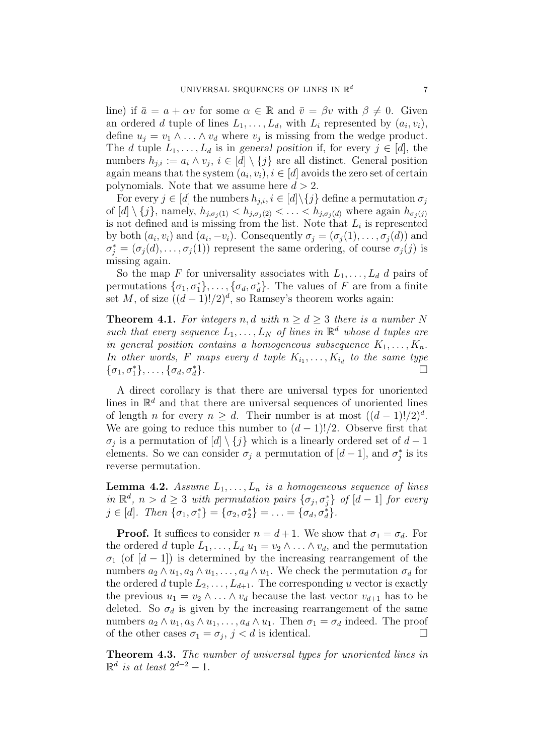line) if  $\bar{a} = a + \alpha v$  for some  $\alpha \in \mathbb{R}$  and  $\bar{v} = \beta v$  with  $\beta \neq 0$ . Given an ordered d tuple of lines  $L_1, \ldots, L_d$ , with  $L_i$  represented by  $(a_i, v_i)$ , define  $u_j = v_1 \wedge \ldots \wedge v_d$  where  $v_j$  is missing from the wedge product. The d tuple  $L_1, \ldots, L_d$  is in general position if, for every  $j \in [d]$ , the numbers  $h_{j,i} := a_i \wedge v_j$ ,  $i \in [d] \setminus \{j\}$  are all distinct. General position again means that the system  $(a_i, v_i), i \in [d]$  avoids the zero set of certain polynomials. Note that we assume here  $d > 2$ .

For every  $j \in [d]$  the numbers  $h_{j,i}, i \in [d] \setminus \{j\}$  define a permutation  $\sigma_j$ of  $[d] \setminus \{j\}$ , namely,  $h_{j,\sigma_i(1)} < h_{j,\sigma_i(2)} < \ldots < h_{j,\sigma_i(d)}$  where again  $h_{\sigma_i(j)}$ is not defined and is missing from the list. Note that  $L_i$  is represented by both  $(a_i, v_i)$  and  $(a_i, -v_i)$ . Consequently  $\sigma_j = (\sigma_j(1), \ldots, \sigma_j(d))$  and  $\sigma_j^* = (\sigma_j(d), \ldots, \sigma_j(1))$  represent the same ordering, of course  $\sigma_j(j)$  is missing again.

So the map F for universality associates with  $L_1, \ldots, L_d$  d pairs of permutations  $\{\sigma_1, \sigma_1^*\}, \ldots, \{\sigma_d, \sigma_d^*\}$ . The values of F are from a finite set M, of size  $((d-1)!/2)^d$ , so Ramsey's theorem works again:

**Theorem 4.1.** For integers n, d with  $n > d > 3$  there is a number N such that every sequence  $L_1, \ldots, L_N$  of lines in  $\mathbb{R}^d$  whose d tuples are in general position contains a homogeneous subsequence  $K_1, \ldots, K_n$ . In other words, F maps every d tuple  $K_{i_1}, \ldots, K_{i_d}$  to the same type  $\{\sigma_1,\sigma_1^*\},\ldots,\{\sigma_d,\sigma_d^*$ }.

A direct corollary is that there are universal types for unoriented lines in  $\mathbb{R}^d$  and that there are universal sequences of unoriented lines of length *n* for every  $n \geq d$ . Their number is at most  $((d-1)!/2)^d$ . We are going to reduce this number to  $(d-1)!/2$ . Observe first that  $\sigma_j$  is a permutation of  $[d] \setminus \{j\}$  which is a linearly ordered set of  $d-1$ elements. So we can consider  $\sigma_j$  a permutation of  $[d-1]$ , and  $\sigma_j^*$  is its reverse permutation.

**Lemma 4.2.** Assume  $L_1, \ldots, L_n$  is a homogeneous sequence of lines in  $\mathbb{R}^d$ ,  $n > d \geq 3$  with permutation pairs  $\{\sigma_j, \sigma_j^*\}$  of  $[d-1]$  for every  $j \in [d]$ . Then  $\{\sigma_1, \sigma_1^*\} = \{\sigma_2, \sigma_2^*\} = \ldots = \{\sigma_d, \sigma_d^*\}.$ 

**Proof.** It suffices to consider  $n = d + 1$ . We show that  $\sigma_1 = \sigma_d$ . For the ordered d tuple  $L_1, \ldots, L_d$   $u_1 = v_2 \wedge \ldots \wedge v_d$ , and the permutation  $\sigma_1$  (of [d – 1]) is determined by the increasing rearrangement of the numbers  $a_2 \wedge u_1, a_3 \wedge u_1, \ldots, a_d \wedge u_1$ . We check the permutation  $\sigma_d$  for the ordered d tuple  $L_2, \ldots, L_{d+1}$ . The corresponding u vector is exactly the previous  $u_1 = v_2 \wedge \ldots \wedge v_d$  because the last vector  $v_{d+1}$  has to be deleted. So  $\sigma_d$  is given by the increasing rearrangement of the same numbers  $a_2 \wedge u_1, a_3 \wedge u_1, \ldots, a_d \wedge u_1$ . Then  $\sigma_1 = \sigma_d$  indeed. The proof of the other cases  $\sigma_1 = \sigma_j$ ,  $j < d$  is identical.

Theorem 4.3. The number of universal types for unoriented lines in  $\mathbb{R}^d$  is at least  $2^{d-2} - 1$ .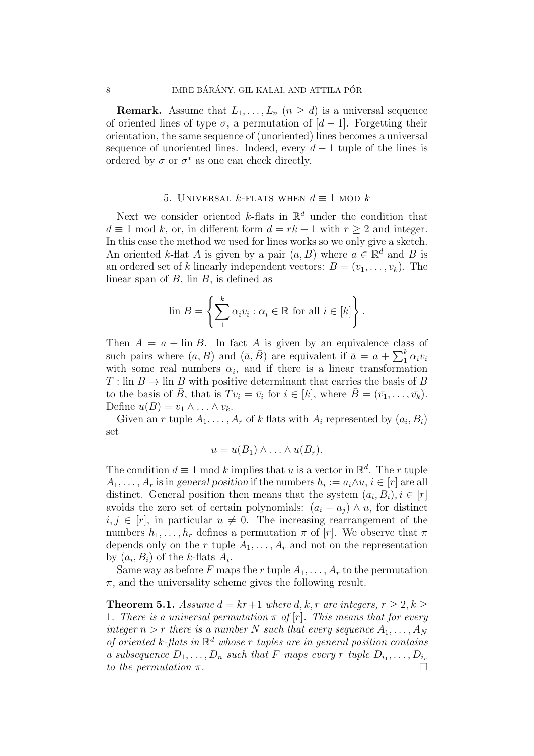**Remark.** Assume that  $L_1, \ldots, L_n$   $(n \geq d)$  is a universal sequence of oriented lines of type  $\sigma$ , a permutation of  $[d-1]$ . Forgetting their orientation, the same sequence of (unoriented) lines becomes a universal sequence of unoriented lines. Indeed, every  $d-1$  tuple of the lines is ordered by  $\sigma$  or  $\sigma^*$  as one can check directly.

## 5. UNIVERSAL k-FLATS WHEN  $d \equiv 1$  MOD k

<span id="page-7-0"></span>Next we consider oriented k-flats in  $\mathbb{R}^d$  under the condition that  $d \equiv 1 \mod k$ , or, in different form  $d = rk + 1$  with  $r \geq 2$  and integer. In this case the method we used for lines works so we only give a sketch. An oriented k-flat A is given by a pair  $(a, B)$  where  $a \in \mathbb{R}^d$  and B is an ordered set of k linearly independent vectors:  $B = (v_1, \ldots, v_k)$ . The linear span of  $B$ , lin  $B$ , is defined as

$$
\text{lin } B = \left\{ \sum_{1}^{k} \alpha_i v_i : \alpha_i \in \mathbb{R} \text{ for all } i \in [k] \right\}.
$$

Then  $A = a + \text{lin } B$ . In fact A is given by an equivalence class of such pairs where  $(a, B)$  and  $(\bar{a}, \bar{B})$  are equivalent if  $\bar{a} = a + \sum_{i=1}^{k} \alpha_i v_i$ with some real numbers  $\alpha_i$ , and if there is a linear transformation  $T: \text{lin } B \to \text{lin } B$  with positive determinant that carries the basis of B to the basis of  $\bar{B}$ , that is  $Tv_i = \bar{v}_i$  for  $i \in [k]$ , where  $\bar{B} = (\bar{v}_1, \ldots, \bar{v}_k)$ . Define  $u(B) = v_1 \wedge \ldots \wedge v_k$ .

Given an r tuple  $A_1, \ldots, A_r$  of k flats with  $A_i$  represented by  $(a_i, B_i)$ set

$$
u = u(B_1) \wedge \ldots \wedge u(B_r).
$$

The condition  $d \equiv 1 \mod k$  implies that u is a vector in  $\mathbb{R}^d$ . The r tuple  $A_1, \ldots, A_r$  is in general position if the numbers  $h_i := a_i \wedge u, i \in [r]$  are all distinct. General position then means that the system  $(a_i, B_i), i \in [r]$ avoids the zero set of certain polynomials:  $(a_i - a_j) \wedge u$ , for distinct  $i, j \in [r]$ , in particular  $u \neq 0$ . The increasing rearrangement of the numbers  $h_1, \ldots, h_r$  defines a permutation  $\pi$  of [r]. We observe that  $\pi$ depends only on the r tuple  $A_1, \ldots, A_r$  and not on the representation by  $(a_i, B_i)$  of the k-flats  $A_i$ .

Same way as before F maps the r tuple  $A_1, \ldots, A_r$  to the permutation  $\pi$ , and the universality scheme gives the following result.

**Theorem 5.1.** Assume  $d = kr+1$  where d, k, r are integers,  $r \geq 2, k \geq 1$ 1. There is a universal permutation  $\pi$  of  $[r]$ . This means that for every integer  $n > r$  there is a number N such that every sequence  $A_1, \ldots, A_N$ of oriented k-flats in  $\mathbb{R}^d$  whose r tuples are in general position contains a subsequence  $D_1, \ldots, D_n$  such that F maps every r tuple  $D_{i_1}, \ldots, D_{i_r}$ to the permutation  $\pi$ .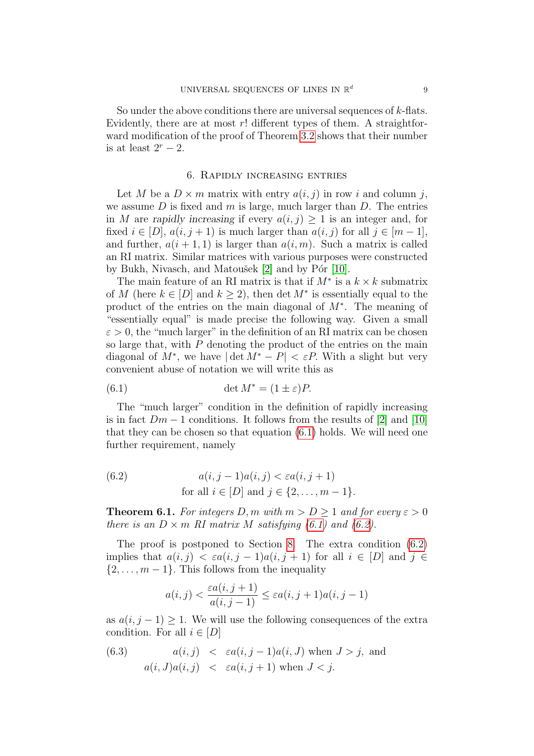So under the above conditions there are universal sequences of  $k$ -flats. Evidently, there are at most  $r!$  different types of them. A straightforward modification of the proof of Theorem [3.2](#page-5-2) shows that their number is at least  $2^r - 2$ .

#### 6. Rapidly increasing entries

<span id="page-8-0"></span>Let M be a  $D \times m$  matrix with entry  $a(i, j)$  in row i and column j, we assume  $D$  is fixed and  $m$  is large, much larger than  $D$ . The entries in M are rapidly increasing if every  $a(i, j) \geq 1$  is an integer and, for fixed  $i \in [D]$ ,  $a(i, j + 1)$  is much larger than  $a(i, j)$  for all  $j \in [m - 1]$ . and further,  $a(i + 1, 1)$  is larger than  $a(i, m)$ . Such a matrix is called an RI matrix. Similar matrices with various purposes were constructed by Bukh, Nivasch, and Matoušek  $[2]$  and by P $\acute{o}$ r  $[10]$ .

The main feature of an RI matrix is that if  $M^*$  is a  $k \times k$  submatrix of M (here  $k \in [D]$  and  $k \geq 2$ ), then det  $M^*$  is essentially equal to the product of the entries on the main diagonal of M<sup>∗</sup> . The meaning of "essentially equal" is made precise the following way. Given a small  $\varepsilon > 0$ , the "much larger" in the definition of an RI matrix can be chosen so large that, with P denoting the product of the entries on the main diagonal of  $M^*$ , we have  $|\det M^* - P| < \varepsilon P$ . With a slight but very convenient abuse of notation we will write this as

<span id="page-8-1"></span>(6.1) 
$$
\det M^* = (1 \pm \varepsilon)P.
$$

The "much larger" condition in the definition of rapidly increasing is in fact  $Dm-1$  conditions. It follows from the results of [\[2\]](#page-19-7) and [\[10\]](#page-20-5) that they can be chosen so that equation [\(6.1\)](#page-8-1) holds. We will need one further requirement, namely

<span id="page-8-2"></span>(6.2) 
$$
a(i, j-1)a(i, j) < \varepsilon a(i, j+1)
$$
  
for all  $i \in [D]$  and  $j \in \{2, ..., m-1\}.$ 

<span id="page-8-4"></span>**Theorem 6.1.** For integers D, m with  $m > D > 1$  and for every  $\varepsilon > 0$ there is an  $D \times m$  RI matrix M satisfying [\(6.1\)](#page-8-1) and [\(6.2\)](#page-8-2).

The proof is postponed to Section [8.](#page-12-0) The extra condition [\(6.2\)](#page-8-2) implies that  $a(i, j) < \varepsilon a(i, j - 1)a(i, j + 1)$  for all  $i \in [D]$  and  $j \in$  $\{2,\ldots,m-1\}$ . This follows from the inequality

<span id="page-8-3"></span>
$$
a(i,j) < \frac{\varepsilon a(i,j+1)}{a(i,j-1)} \le \varepsilon a(i,j+1)a(i,j-1)
$$

as  $a(i, j - 1) \geq 1$ . We will use the following consequences of the extra condition. For all  $i \in [D]$ 

(6.3) 
$$
a(i,j) < \varepsilon a(i,j-1)a(i,J)
$$
 when  $J > j$ , and  $a(i,J)a(i,j) < \varepsilon a(i,j+1)$  when  $J < j$ .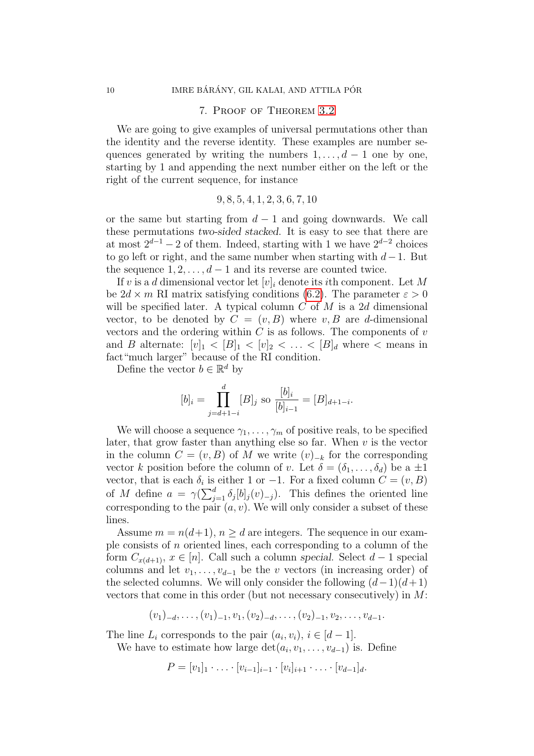#### 7. Proof of Theorem [3.2](#page-5-2)

<span id="page-9-0"></span>We are going to give examples of universal permutations other than the identity and the reverse identity. These examples are number sequences generated by writing the numbers  $1, \ldots, d - 1$  one by one, starting by 1 and appending the next number either on the left or the right of the current sequence, for instance

$$
9, 8, 5, 4, 1, 2, 3, 6, 7, 10
$$

or the same but starting from  $d-1$  and going downwards. We call these permutations two-sided stacked. It is easy to see that there are at most  $2^{d-1} - 2$  of them. Indeed, starting with 1 we have  $2^{d-2}$  choices to go left or right, and the same number when starting with  $d-1$ . But the sequence  $1, 2, \ldots, d-1$  and its reverse are counted twice.

If v is a d dimensional vector let  $[v]_i$  denote its *i*th component. Let M be  $2d \times m$  RI matrix satisfying conditions [\(6.2\)](#page-8-2). The parameter  $\varepsilon > 0$ will be specified later. A typical column  $C$  of  $M$  is a 2d dimensional vector, to be denoted by  $C = (v, B)$  where v, B are d-dimensional vectors and the ordering within  $C$  is as follows. The components of  $v$ and B alternate:  $[v]_1 < [B]_1 < [v]_2 < \ldots < [B]_d$  where  $\lt$  means in fact"much larger" because of the RI condition.

Define the vector  $b \in \mathbb{R}^d$  by

$$
[b]_i = \prod_{j=d+1-i}^d [B]_j
$$
 so 
$$
\frac{[b]_i}{[b]_{i-1}} = [B]_{d+1-i}.
$$

We will choose a sequence  $\gamma_1, \ldots, \gamma_m$  of positive reals, to be specified later, that grow faster than anything else so far. When  $v$  is the vector in the column  $C = (v, B)$  of M we write  $(v)_{-k}$  for the corresponding vector k position before the column of v. Let  $\delta = (\delta_1, \ldots, \delta_d)$  be a  $\pm 1$ vector, that is each  $\delta_i$  is either 1 or -1. For a fixed column  $C = (v, B)$ of M define  $a = \gamma(\sum_{j=1}^d \delta_j[b]_j(v)_{-j})$ . This defines the oriented line corresponding to the pair  $(a, v)$ . We will only consider a subset of these lines.

Assume  $m = n(d+1)$ ,  $n > d$  are integers. The sequence in our example consists of  $n$  oriented lines, each corresponding to a column of the form  $C_{x(d+1)}, x \in [n]$ . Call such a column special. Select  $d-1$  special columns and let  $v_1, \ldots, v_{d-1}$  be the v vectors (in increasing order) of the selected columns. We will only consider the following  $(d-1)(d+1)$ vectors that come in this order (but not necessary consecutively) in  $M$ :

 $(v_1)_{-d}, \ldots, (v_1)_{-1}, v_1, (v_2)_{-d}, \ldots, (v_2)_{-1}, v_2, \ldots, v_{d-1}.$ 

The line  $L_i$  corresponds to the pair  $(a_i, v_i), i \in [d-1]$ .

We have to estimate how large  $\det(a_i, v_1, \ldots, v_{d-1})$  is. Define

$$
P = [v_1]_1 \cdot \ldots \cdot [v_{i-1}]_{i-1} \cdot [v_i]_{i+1} \cdot \ldots \cdot [v_{d-1}]_d.
$$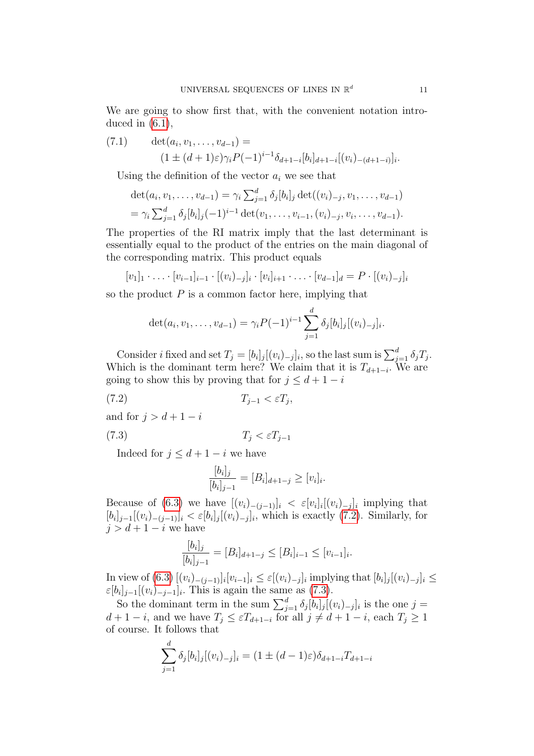We are going to show first that, with the convenient notation introduced in  $(6.1)$ ,

<span id="page-10-2"></span>(7.1) 
$$
\det(a_i, v_1, \dots, v_{d-1}) =
$$

$$
(1 \pm (d+1)\varepsilon)\gamma_i P(-1)^{i-1} \delta_{d+1-i}[b_i]_{d+1-i}[(v_i)_{-(d+1-i)}]_i.
$$

Using the definition of the vector  $a_i$  we see that

$$
\det(a_i, v_1, \dots, v_{d-1}) = \gamma_i \sum_{j=1}^d \delta_j [b_i]_j \det((v_i)_{-j}, v_1, \dots, v_{d-1})
$$
  
=  $\gamma_i \sum_{j=1}^d \delta_j [b_i]_j (-1)^{i-1} \det(v_1, \dots, v_{i-1}, (v_i)_{-j}, v_i, \dots, v_{d-1}).$ 

The properties of the RI matrix imply that the last determinant is essentially equal to the product of the entries on the main diagonal of the corresponding matrix. This product equals

$$
[v_1]_1 \cdot \ldots \cdot [v_{i-1}]_{i-1} \cdot [(v_i)_{-j}]_i \cdot [v_i]_{i+1} \cdot \ldots \cdot [v_{d-1}]_d = P \cdot [(v_i)_{-j}]_i
$$

so the product  $P$  is a common factor here, implying that

$$
\det(a_i, v_1, \ldots, v_{d-1}) = \gamma_i P(-1)^{i-1} \sum_{j=1}^d \delta_j [b_i]_j [(v_i)_{-j}]_i.
$$

Consider *i* fixed and set  $T_j = [b_i]_j [(v_i)_{-j}]_i$ , so the last sum is  $\sum_{j=1}^d \delta_j T_j$ . Which is the dominant term here? We claim that it is  $T_{d+1-i}$ . We are going to show this by proving that for  $j \leq d+1-i$ 

$$
(7.2) \t\t T_{j-1} < \varepsilon T_j,
$$

and for  $j > d + 1 - i$ 

$$
(7.3) \t\t T_j < \varepsilon T_{j-1}
$$

Indeed for  $j \leq d+1-i$  we have

<span id="page-10-1"></span><span id="page-10-0"></span>
$$
\frac{[b_i]_j}{[b_i]_{j-1}} = [B_i]_{d+1-j} \ge [v_i]_i.
$$

Because of [\(6.3\)](#page-8-3) we have  $[(v_i)_{-(j-1)}]_i < \varepsilon [v_i]_i [(v_i)_{-j}]_i$  implying that  $[b_i]_{j-1}[(v_i)_{-(j-1)}]_i < \varepsilon[b_i]_j[(v_i)_{-j}]_i$ , which is exactly  $(7.2)$ . Similarly, for  $j > d + 1 - i$  we have

$$
\frac{[b_i]_j}{[b_i]_{j-1}} = [B_i]_{d+1-j} \le [B_i]_{i-1} \le [v_{i-1}]_i.
$$

In view of  $(6.3)$   $[(v_i)_{-(j-1)}]_i[v_{i-1}]_i \leq \varepsilon [(v_i)_{-j}]_i$  implying that  $[b_i]_j[(v_i)_{-j}]_i \leq$  $\varepsilon[b_i]_{j-1}[(v_i)_{-j-1}]_i$ . This is again the same as [\(7.3\)](#page-10-1).

So the dominant term in the sum  $\sum_{j=1}^d \delta_j [b_i]_j [(v_i)_{-j}]_i$  is the one  $j =$  $d+1-i$ , and we have  $T_j \leq \varepsilon T_{d+1-i}$  for all  $j \neq d+1-i$ , each  $T_j \geq 1$ of course. It follows that

$$
\sum_{j=1}^{d} \delta_j [b_i]_j [(v_i)_{-j}]_i = (1 \pm (d-1)\varepsilon) \delta_{d+1-i} T_{d+1-i}
$$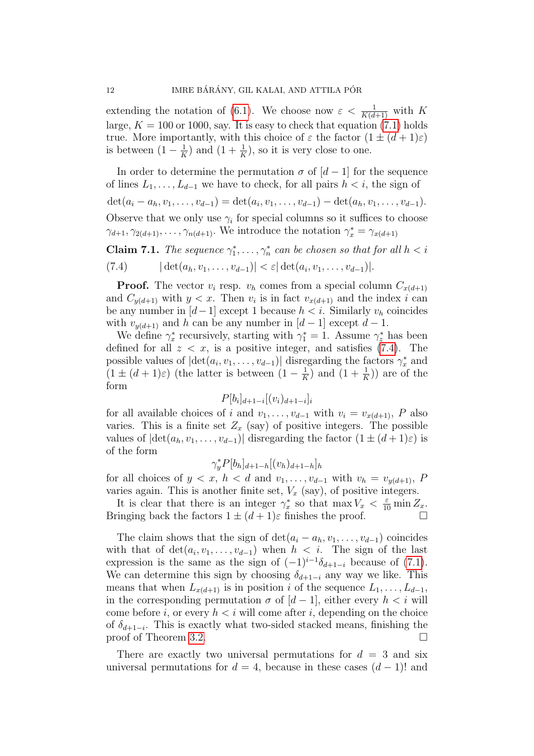extending the notation of [\(6.1\)](#page-8-1). We choose now  $\varepsilon < \frac{1}{K(d+1)}$  with K large,  $K = 100$  or 1000, say. It is easy to check that equation [\(7.1\)](#page-10-2) holds true. More importantly, with this choice of  $\varepsilon$  the factor  $(1 \pm (d+1)\varepsilon)$ is between  $(1 - \frac{1}{k})$  $(\frac{1}{K})$  and  $(1 + \frac{1}{K})$ , so it is very close to one.

In order to determine the permutation  $\sigma$  of  $[d-1]$  for the sequence of lines  $L_1, \ldots, L_{d-1}$  we have to check, for all pairs  $h < i$ , the sign of  $\det(a_i - a_h, v_1, \ldots, v_{d-1}) = \det(a_i, v_1, \ldots, v_{d-1}) - \det(a_h, v_1, \ldots, v_{d-1}).$ Observe that we only use  $\gamma_i$  for special columns so it suffices to choose  $\gamma_{d+1}, \gamma_{2(d+1)}, \ldots, \gamma_{n(d+1)}$ . We introduce the notation  $\gamma_x^* = \gamma_{x(d+1)}$ 

<span id="page-11-0"></span>**Claim 7.1.** The sequence  $\gamma_1^*, \ldots, \gamma_n^*$  can be chosen so that for all  $h < i$ (7.4)  $|\det(a_h, v_1, \ldots, v_{d-1})| < \varepsilon |\det(a_i, v_1, \ldots, v_{d-1})|$ .

**Proof.** The vector  $v_i$  resp.  $v_h$  comes from a special column  $C_{x(d+1)}$ and  $C_{y(d+1)}$  with  $y < x$ . Then  $v_i$  is in fact  $v_{x(d+1)}$  and the index i can be any number in  $[d-1]$  except 1 because  $h < i$ . Similarly  $v_h$  coincides with  $v_{y(d+1)}$  and h can be any number in  $[d-1]$  except  $d-1$ .

We define  $\gamma_x^*$  recursively, starting with  $\gamma_1^* = 1$ . Assume  $\gamma_z^*$  has been defined for all  $z < x$ , is a positive integer, and satisfies [\(7.4\)](#page-11-0). The possible values of  $|\text{det}(a_i, v_1, \dots, v_{d-1})|$  disregarding the factors  $\gamma_x^*$  and  $(1 \pm (d+1)\varepsilon)$  (the latter is between  $(1-\frac{1}{k})$  $\frac{1}{K}$ ) and  $(1+\frac{1}{K})$  are of the form

$$
P[b_i]_{d+1-i}[(v_i)_{d+1-i}]_i
$$

for all available choices of i and  $v_1, \ldots, v_{d-1}$  with  $v_i = v_{x(d+1)}$ , P also varies. This is a finite set  $Z_x$  (say) of positive integers. The possible values of  $|\det(a_h, v_1, \ldots, v_{d-1})|$  disregarding the factor  $(1 \pm (d+1)\varepsilon)$  is of the form

$$
\gamma_y^* P[b_h]_{d+1-h}[(v_h)_{d+1-h}]_h
$$

for all choices of  $y < x$ ,  $h < d$  and  $v_1, \ldots, v_{d-1}$  with  $v_h = v_{u(d+1)}$ , P varies again. This is another finite set,  $V_x$  (say), of positive integers.

It is clear that there is an integer  $\gamma_x^*$  so that  $\max V_x < \frac{\varepsilon}{10} \min Z_x$ . Bringing back the factors  $1 \pm (d+1)\varepsilon$  finishes the proof.

The claim shows that the sign of  $\det(a_i - a_h, v_1, \ldots, v_{d-1})$  coincides with that of  $\det(a_i, v_1, \ldots, v_{d-1})$  when  $h < i$ . The sign of the last expression is the same as the sign of  $(-1)^{i-1}\delta_{d+1-i}$  because of  $(7.1)$ . We can determine this sign by choosing  $\delta_{d+1-i}$  any way we like. This means that when  $L_{x(d+1)}$  is in position i of the sequence  $L_1, \ldots, L_{d-1}$ , in the corresponding permutation  $\sigma$  of  $[d-1]$ , either every  $h < i$  will come before i, or every  $h < i$  will come after i, depending on the choice of  $\delta_{d+1-i}$ . This is exactly what two-sided stacked means, finishing the proof of Theorem [3.2.](#page-5-2)

There are exactly two universal permutations for  $d = 3$  and six universal permutations for  $d = 4$ , because in these cases  $(d - 1)!$  and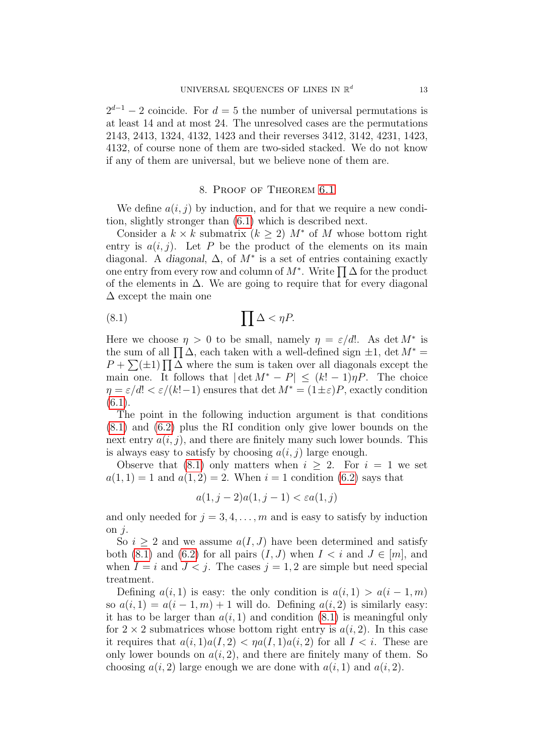$2^{d-1} - 2$  coincide. For  $d = 5$  the number of universal permutations is at least 14 and at most 24. The unresolved cases are the permutations 2143, 2413, 1324, 4132, 1423 and their reverses 3412, 3142, 4231, 1423, 4132, of course none of them are two-sided stacked. We do not know if any of them are universal, but we believe none of them are.

#### <span id="page-12-1"></span>8. Proof of Theorem [6.1](#page-8-4)

<span id="page-12-0"></span>We define  $a(i, j)$  by induction, and for that we require a new condition, slightly stronger than [\(6.1\)](#page-8-1) which is described next.

Consider a  $k \times k$  submatrix  $(k \geq 2)$   $M^*$  of M whose bottom right entry is  $a(i, j)$ . Let P be the product of the elements on its main diagonal. A diagonal,  $\Delta$ , of  $M^*$  is a set of entries containing exactly one entry from every row and column of  $M^*$ . Write  $\prod_{i} \Delta$  for the product of the elements in  $\Delta$ . We are going to require that for every diagonal  $\Delta$  except the main one

$$
(8.1) \t\t \prod \Delta < \eta P.
$$

Here we choose  $\eta > 0$  to be small, namely  $\eta = \varepsilon/d!$ . As det  $M^*$  is the sum of all  $\prod \Delta$ , each taken with a well-defined sign  $\pm 1$ , det  $M^* =$  $P + \sum_{i=1}^{n} \sum_{j=1}^{n} \Delta_j$  where the sum is taken over all diagonals except the main one. It follows that  $|\det M^* - P| \leq (k! - 1)\eta P$ . The choice  $\eta = \varepsilon/d! < \varepsilon/(k!-1)$  ensures that det  $M^* = (1 \pm \varepsilon)P$ , exactly condition  $(6.1).$  $(6.1).$ 

The point in the following induction argument is that conditions [\(8.1\)](#page-12-1) and [\(6.2\)](#page-8-2) plus the RI condition only give lower bounds on the next entry  $a(i, j)$ , and there are finitely many such lower bounds. This is always easy to satisfy by choosing  $a(i, j)$  large enough.

Observe that [\(8.1\)](#page-12-1) only matters when  $i > 2$ . For  $i = 1$  we set  $a(1, 1) = 1$  and  $a(1, 2) = 2$ . When  $i = 1$  condition [\(6.2\)](#page-8-2) says that

$$
a(1, j-2)a(1, j-1) < \varepsilon a(1, j)
$$

and only needed for  $j = 3, 4, \ldots, m$  and is easy to satisfy by induction on  $i$ .

So  $i \geq 2$  and we assume  $a(I, J)$  have been determined and satisfy both [\(8.1\)](#page-12-1) and [\(6.2\)](#page-8-2) for all pairs  $(I, J)$  when  $I \leq i$  and  $J \in [m]$ , and when  $I = i$  and  $J < j$ . The cases  $j = 1, 2$  are simple but need special treatment.

Defining  $a(i, 1)$  is easy: the only condition is  $a(i, 1) > a(i - 1, m)$ so  $a(i, 1) = a(i - 1, m) + 1$  will do. Defining  $a(i, 2)$  is similarly easy: it has to be larger than  $a(i, 1)$  and condition  $(8.1)$  is meaningful only for  $2 \times 2$  submatrices whose bottom right entry is  $a(i, 2)$ . In this case it requires that  $a(i, 1)a(I, 2) < \eta a(I, 1)a(i, 2)$  for all  $I < i$ . These are only lower bounds on  $a(i, 2)$ , and there are finitely many of them. So choosing  $a(i, 2)$  large enough we are done with  $a(i, 1)$  and  $a(i, 2)$ .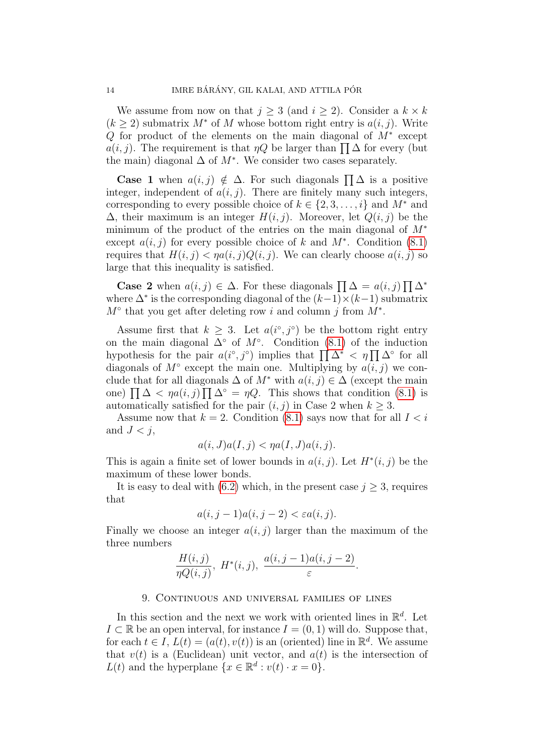We assume from now on that  $j \geq 3$  (and  $i \geq 2$ ). Consider a  $k \times k$  $(k \geq 2)$  submatrix  $M^*$  of M whose bottom right entry is  $a(i, j)$ . Write Q for product of the elements on the main diagonal of  $M^*$  except  $a(i, j)$ . The requirement is that  $\eta Q$  be larger than  $\prod_{i} \Delta$  for every (but the main) diagonal  $\Delta$  of  $M^*$ . We consider two cases separately.

**Case 1** when  $a(i, j) \notin \Delta$ . For such diagonals  $\prod_{i} \Delta$  is a positive integer, independent of  $a(i, j)$ . There are finitely many such integers, corresponding to every possible choice of  $k \in \{2, 3, \ldots, i\}$  and  $M^*$  and  $\Delta$ , their maximum is an integer  $H(i, j)$ . Moreover, let  $Q(i, j)$  be the minimum of the product of the entries on the main diagonal of M<sup>∗</sup> except  $a(i, j)$  for every possible choice of k and  $M^*$ . Condition [\(8.1\)](#page-12-1) requires that  $H(i, j) < \eta a(i, j)Q(i, j)$ . We can clearly choose  $a(i, j)$  so large that this inequality is satisfied.

**Case 2** when  $a(i, j) \in \Delta$ . For these diagonals  $\prod_{i} \Delta = a(i, j) \prod_{i} \Delta^*$ where  $\Delta^*$  is the corresponding diagonal of the  $(k-1)\times(k-1)$  submatrix  $M^{\circ}$  that you get after deleting row i and column j from  $M^*$ .

Assume first that  $k \geq 3$ . Let  $a(i^{\circ}, j^{\circ})$  be the bottom right entry on the main diagonal  $\Delta^{\circ}$  of  $M^{\circ}$ . Condition [\(8.1\)](#page-12-1) of the induction hypothesis for the pair  $a(i^{\circ}, j^{\circ})$  implies that  $\prod \Delta^* < \eta \prod \Delta^{\circ}$  for all diagonals of  $M^{\circ}$  except the main one. Multiplying by  $a(i, j)$  we conclude that for all diagonals  $\Delta$  of  $M^*$  with  $a(i, j) \in \Delta$  (except the main one)  $\prod \Delta < \eta a(i, j) \prod \Delta^{\circ} = \eta Q$ . This shows that condition [\(8.1\)](#page-12-1) is automatically satisfied for the pair  $(i, j)$  in Case 2 when  $k \geq 3$ .

Assume now that  $k = 2$ . Condition [\(8.1\)](#page-12-1) says now that for all  $I < i$ and  $J < j$ ,

$$
a(i, J)a(I, j) < \eta a(I, J)a(i, j).
$$

This is again a finite set of lower bounds in  $a(i, j)$ . Let  $H^*(i, j)$  be the maximum of these lower bonds.

It is easy to deal with [\(6.2\)](#page-8-2) which, in the present case  $j \geq 3$ , requires that

$$
a(i, j-1)a(i, j-2) < \varepsilon a(i, j).
$$

Finally we choose an integer  $a(i, j)$  larger than the maximum of the three numbers

$$
\frac{H(i,j)}{\eta Q(i,j)},\ H^*(i,j),\ \frac{a(i,j-1)a(i,j-2)}{\varepsilon}.
$$

### 9. Continuous and universal families of lines

<span id="page-13-0"></span>In this section and the next we work with oriented lines in  $\mathbb{R}^d$ . Let  $I \subset \mathbb{R}$  be an open interval, for instance  $I = (0, 1)$  will do. Suppose that, for each  $t \in I$ ,  $L(t) = (a(t), v(t))$  is an (oriented) line in  $\mathbb{R}^d$ . We assume that  $v(t)$  is a (Euclidean) unit vector, and  $a(t)$  is the intersection of  $L(t)$  and the hyperplane  $\{x \in \mathbb{R}^d : v(t) \cdot x = 0\}.$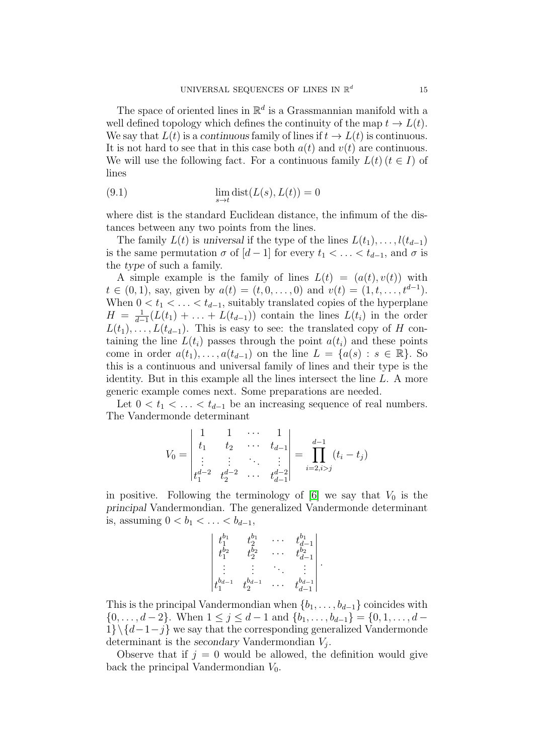The space of oriented lines in  $\mathbb{R}^d$  is a Grassmannian manifold with a well defined topology which defines the continuity of the map  $t \to L(t)$ . We say that  $L(t)$  is a continuous family of lines if  $t \to L(t)$  is continuous. It is not hard to see that in this case both  $a(t)$  and  $v(t)$  are continuous. We will use the following fact. For a continuous family  $L(t)$   $(t \in I)$  of lines

<span id="page-14-0"></span>(9.1) 
$$
\lim_{s \to t} \text{dist}(L(s), L(t)) = 0
$$

where dist is the standard Euclidean distance, the infimum of the distances between any two points from the lines.

The family  $L(t)$  is universal if the type of the lines  $L(t_1), \ldots, l(t_{d-1})$ is the same permutation  $\sigma$  of  $[d-1]$  for every  $t_1 < \ldots < t_{d-1}$ , and  $\sigma$  is the type of such a family.

A simple example is the family of lines  $L(t) = (a(t), v(t))$  with  $t \in (0, 1)$ , say, given by  $a(t) = (t, 0, \ldots, 0)$  and  $v(t) = (1, t, \ldots, t^{d-1})$ . When  $0 < t_1 < \ldots < t_{d-1}$ , suitably translated copies of the hyperplane  $H = \frac{1}{d-1}$  $\frac{1}{d-1}(L(t_1) + \ldots + L(t_{d-1}))$  contain the lines  $L(t_i)$  in the order  $L(t_1), \ldots, L(t_{d-1})$ . This is easy to see: the translated copy of H containing the line  $L(t_i)$  passes through the point  $a(t_i)$  and these points come in order  $a(t_1), \ldots, a(t_{d-1})$  on the line  $L = \{a(s) : s \in \mathbb{R}\}\)$ . So this is a continuous and universal family of lines and their type is the identity. But in this example all the lines intersect the line L. A more generic example comes next. Some preparations are needed.

Let  $0 < t_1 < \ldots < t_{d-1}$  be an increasing sequence of real numbers. The Vandermonde determinant

$$
V_0 = \begin{vmatrix} 1 & 1 & \cdots & 1 \\ t_1 & t_2 & \cdots & t_{d-1} \\ \vdots & \vdots & \ddots & \vdots \\ t_1^{d-2} & t_2^{d-2} & \cdots & t_{d-1}^{d-2} \end{vmatrix} = \prod_{i=2, i>j}^{d-1} (t_i - t_j)
$$

in positive. Following the terminology of [\[6\]](#page-19-8) we say that  $V_0$  is the principal Vandermondian. The generalized Vandermonde determinant is, assuming  $0 < b_1 < \ldots < b_{d-1}$ ,

$$
\begin{vmatrix} t_1^{b_1} & t_2^{b_1} & \cdots & t_{d-1}^{b_1} \\ t_2^{b_2} & t_2^{b_2} & \cdots & t_{d-1}^{b_2} \\ \vdots & \vdots & \ddots & \vdots \\ t_1^{b_{d-1}} & t_2^{b_{d-1}} & \cdots & t_{d-1}^{b_{d-1}} \end{vmatrix}
$$

.

This is the principal Vandermondian when  $\{b_1, \ldots, b_{d-1}\}$  coincides with  $\{0, \ldots, d-2\}$ . When  $1 \leq j \leq d-1$  and  $\{b_1, \ldots, b_{d-1}\} = \{0, 1, \ldots, d-1\}$  $1\}\setminus\{d-1-j\}$  we say that the corresponding generalized Vandermonde determinant is the secondary Vandermondian  $V_j$ .

Observe that if  $j = 0$  would be allowed, the definition would give back the principal Vandermondian  $V_0$ .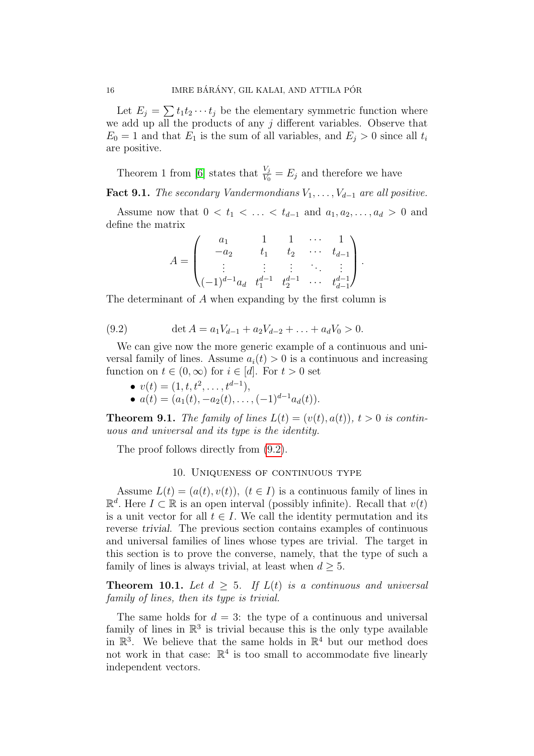Let  $E_j = \sum t_1 t_2 \cdots t_j$  be the elementary symmetric function where we add up all the products of any  $j$  different variables. Observe that  $E_0 = 1$  and that  $E_1$  is the sum of all variables, and  $E_j > 0$  since all  $t_i$ are positive.

Theorem 1 from [\[6\]](#page-19-8) states that  $\frac{V_j}{V_0} = E_j$  and therefore we have

**Fact 9.1.** The secondary Vandermondians  $V_1, \ldots, V_{d-1}$  are all positive.

Assume now that  $0 < t_1 < \ldots < t_{d-1}$  and  $a_1, a_2, \ldots, a_d > 0$  and define the matrix

$$
A = \begin{pmatrix} a_1 & 1 & 1 & \cdots & 1 \\ -a_2 & t_1 & t_2 & \cdots & t_{d-1} \\ \vdots & \vdots & \vdots & \ddots & \vdots \\ (-1)^{d-1}a_d & t_1^{d-1} & t_2^{d-1} & \cdots & t_{d-1}^{d-1} \end{pmatrix}.
$$

The determinant of A when expanding by the first column is

<span id="page-15-1"></span>(9.2) 
$$
\det A = a_1 V_{d-1} + a_2 V_{d-2} + \ldots + a_d V_0 > 0.
$$

We can give now the more generic example of a continuous and universal family of lines. Assume  $a_i(t) > 0$  is a continuous and increasing function on  $t \in (0, \infty)$  for  $i \in [d]$ . For  $t > 0$  set

- $v(t) = (1, t, t^2, \dots, t^{d-1}),$
- $a(t) = (a_1(t), -a_2(t), \ldots, (-1)^{d-1}a_d(t)).$

**Theorem 9.1.** The family of lines  $L(t) = (v(t), a(t)), t > 0$  is continuous and universal and its type is the identity.

The proof follows directly from [\(9.2\)](#page-15-1).

#### 10. Uniqueness of continuous type

<span id="page-15-0"></span>Assume  $L(t) = (a(t), v(t)),$   $(t \in I)$  is a continuous family of lines in  $\mathbb{R}^d$ . Here  $I \subset \mathbb{R}$  is an open interval (possibly infinite). Recall that  $v(t)$ is a unit vector for all  $t \in I$ . We call the identity permutation and its reverse trivial. The previous section contains examples of continuous and universal families of lines whose types are trivial. The target in this section is to prove the converse, namely, that the type of such a family of lines is always trivial, at least when  $d \geq 5$ .

<span id="page-15-2"></span>**Theorem 10.1.** Let  $d \geq 5$ . If  $L(t)$  is a continuous and universal family of lines, then its type is trivial.

The same holds for  $d = 3$ : the type of a continuous and universal family of lines in  $\mathbb{R}^3$  is trivial because this is the only type available in  $\mathbb{R}^3$ . We believe that the same holds in  $\mathbb{R}^4$  but our method does not work in that case:  $\mathbb{R}^4$  is too small to accommodate five linearly independent vectors.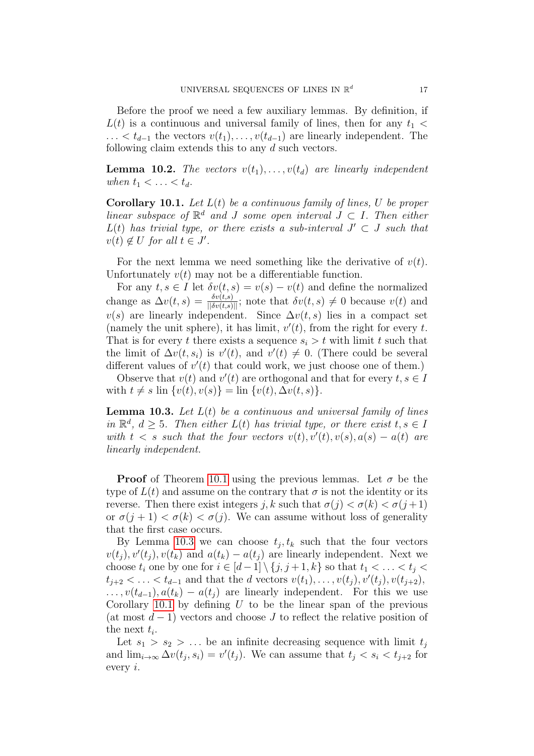Before the proof we need a few auxiliary lemmas. By definition, if  $L(t)$  is a continuous and universal family of lines, then for any  $t_1$  <  $\dots < t_{d-1}$  the vectors  $v(t_1), \dots, v(t_{d-1})$  are linearly independent. The following claim extends this to any d such vectors.

<span id="page-16-2"></span>**Lemma 10.2.** The vectors  $v(t_1), \ldots, v(t_d)$  are linearly independent when  $t_1 < \ldots < t_d$ .

<span id="page-16-1"></span>**Corollary 10.1.** Let  $L(t)$  be a continuous family of lines, U be proper linear subspace of  $\mathbb{R}^d$  and J some open interval  $J \subset I$ . Then either  $L(t)$  has trivial type, or there exists a sub-interval  $J' \subset J$  such that  $v(t) \notin U$  for all  $t \in J'$ .

For the next lemma we need something like the derivative of  $v(t)$ . Unfortunately  $v(t)$  may not be a differentiable function.

For any  $t, s \in I$  let  $\delta v(t, s) = v(s) - v(t)$  and define the normalized change as  $\Delta v(t,s) = \frac{\delta v(t,s)}{|\delta v(t,s)||}$ ; note that  $\delta v(t,s) \neq 0$  because  $v(t)$  and  $v(s)$  are linearly independent. Since  $\Delta v(t, s)$  lies in a compact set (namely the unit sphere), it has limit,  $v'(t)$ , from the right for every t. That is for every t there exists a sequence  $s_i > t$  with limit t such that the limit of  $\Delta v(t, s_i)$  is  $v'(t)$ , and  $v'(t) \neq 0$ . (There could be several different values of  $v'(t)$  that could work, we just choose one of them.)

Observe that  $v(t)$  and  $v'(t)$  are orthogonal and that for every  $t, s \in I$ with  $t \neq s$  lin  $\{v(t), v(s)\} = \lim \{v(t), \Delta v(t, s)\}.$ 

<span id="page-16-0"></span>**Lemma 10.3.** Let  $L(t)$  be a continuous and universal family of lines in  $\mathbb{R}^d$ ,  $d \geq 5$ . Then either  $L(t)$  has trivial type, or there exist  $t, s \in I$ with  $t < s$  such that the four vectors  $v(t)$ ,  $v'(t)$ ,  $v(s)$ ,  $a(s) - a(t)$  are linearly independent.

**Proof** of Theorem [10.1](#page-15-2) using the previous lemmas. Let  $\sigma$  be the type of  $L(t)$  and assume on the contrary that  $\sigma$  is not the identity or its reverse. Then there exist integers j, k such that  $\sigma(j) < \sigma(k) < \sigma(j+1)$ or  $\sigma(j+1) < \sigma(k) < \sigma(j)$ . We can assume without loss of generality that the first case occurs.

By Lemma [10.3](#page-16-0) we can choose  $t_j, t_k$  such that the four vectors  $v(t_j)$ ,  $v'(t_j)$ ,  $v(t_k)$  and  $a(t_k) - a(t_j)$  are linearly independent. Next we choose  $t_i$  one by one for  $i \in [d-1] \setminus \{j, j+1, k\}$  so that  $t_1 < \ldots < t_j <$  $t_{j+2} < \ldots < t_{d-1}$  and that the d vectors  $v(t_1), \ldots, v(t_j), v'(t_j), v(t_{j+2}),$  $\dots, v(t_{d-1}), a(t_k) - a(t_i)$  are linearly independent. For this we use Corollary [10.1](#page-16-1) by defining  $U$  to be the linear span of the previous (at most  $d-1$ ) vectors and choose J to reflect the relative position of the next  $t_i$ .

Let  $s_1 > s_2 > \ldots$  be an infinite decreasing sequence with limit  $t_i$ and  $\lim_{i\to\infty} \Delta v(t_j, s_i) = v'(t_j)$ . We can assume that  $t_j < s_i < t_{j+2}$  for every i.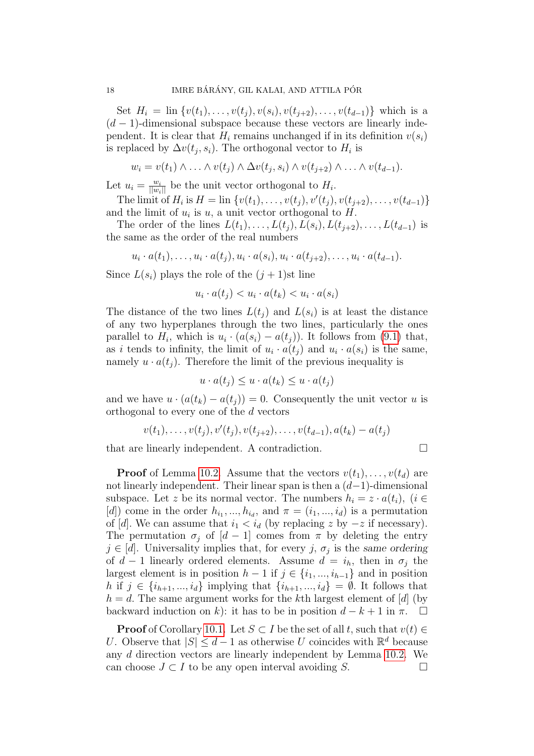Set  $H_i = \text{lin } \{v(t_1), \ldots, v(t_i), v(s_i), v(t_{i+2}), \ldots, v(t_{d-1})\}$  which is a  $(d-1)$ -dimensional subspace because these vectors are linearly independent. It is clear that  $H_i$  remains unchanged if in its definition  $v(s_i)$ is replaced by  $\Delta v(t_j, s_i)$ . The orthogonal vector to  $H_i$  is

$$
w_i = v(t_1) \wedge \ldots \wedge v(t_j) \wedge \Delta v(t_j, s_i) \wedge v(t_{j+2}) \wedge \ldots \wedge v(t_{d-1}).
$$

Let  $u_i = \frac{w_i}{\|w_i\|}$  be the unit vector orthogonal to  $H_i$ .

The limit of  $H_i$  is  $H = \text{lin } \{v(t_1), \ldots, v(t_j), v'(t_j), v(t_{j+2}), \ldots, v(t_{d-1})\}$ and the limit of  $u_i$  is  $u$ , a unit vector orthogonal to  $H$ .

The order of the lines  $L(t_1), \ldots, L(t_i), L(s_i), L(t_{i+2}), \ldots, L(t_{d-1})$  is the same as the order of the real numbers

$$
u_i \cdot a(t_1), \ldots, u_i \cdot a(t_j), u_i \cdot a(s_i), u_i \cdot a(t_{j+2}), \ldots, u_i \cdot a(t_{d-1}).
$$

Since  $L(s_i)$  plays the role of the  $(j + 1)$ st line

$$
u_i \cdot a(t_j) < u_i \cdot a(t_k) < u_i \cdot a(s_i)
$$

The distance of the two lines  $L(t_i)$  and  $L(s_i)$  is at least the distance of any two hyperplanes through the two lines, particularly the ones parallel to  $H_i$ , which is  $u_i \cdot (a(s_i) - a(t_j))$ . It follows from [\(9.1\)](#page-14-0) that, as i tends to infinity, the limit of  $u_i \cdot a(t_j)$  and  $u_i \cdot a(s_i)$  is the same, namely  $u \cdot a(t_i)$ . Therefore the limit of the previous inequality is

$$
u \cdot a(t_j) \le u \cdot a(t_k) \le u \cdot a(t_j)
$$

and we have  $u \cdot (a(t_k) - a(t_i)) = 0$ . Consequently the unit vector u is orthogonal to every one of the d vectors

$$
v(t_1),...,v(t_j),v'(t_j),v(t_{j+2}),...,v(t_{d-1}),a(t_k)-a(t_j)
$$

that are linearly independent. A contradiction.

**Proof** of Lemma 10.2. Assume that the vectors 
$$
v(t_1), \ldots, v(t_d)
$$
 are not linearly independent. Their linear span is then a  $(d-1)$ -dimensional subspace. Let  $z$  be its normal vector. The numbers  $h_i = z \cdot a(t_i)$ ,  $(i \in [d])$  come in the order  $h_{i_1}, \ldots, h_{i_d}$ , and  $\pi = (i_1, \ldots, i_d)$  is a permutation of  $[d]$ . We can assume that  $i_1 < i_d$  (by replacing  $z$  by  $-z$  if necessary). The permutation  $\sigma_j$  of  $[d-1]$  comes from  $\pi$  by deleting the entry  $j \in [d]$ . University implies that, for every  $j, \sigma_j$  is the same ordering of  $d-1$  linearly ordered elements. Assume  $d = i_h$ , then in  $\sigma_j$  the largest element is in position  $h-1$  if  $j \in \{i_1, \ldots, i_{h-1}\}$  and in position  $h$  if  $j \in \{i_{h+1}, \ldots, i_d\}$  implying that  $\{i_{h+1}, \ldots, i_d\} = \emptyset$ . It follows that  $h = d$ . The same argument works for the *k*th largest element of  $[d]$  (by backward induction on  $k$ ): it has to be in position  $d - k + 1$  in  $\pi$ .  $\square$ 

**Proof** of Corollary [10.1.](#page-16-1) Let  $S \subset I$  be the set of all t, such that  $v(t) \in$ U. Observe that  $|S| \leq d-1$  as otherwise U coincides with  $\mathbb{R}^d$  because any d direction vectors are linearly independent by Lemma [10.2.](#page-16-2) We can choose  $J \subset I$  to be any open interval avoiding S.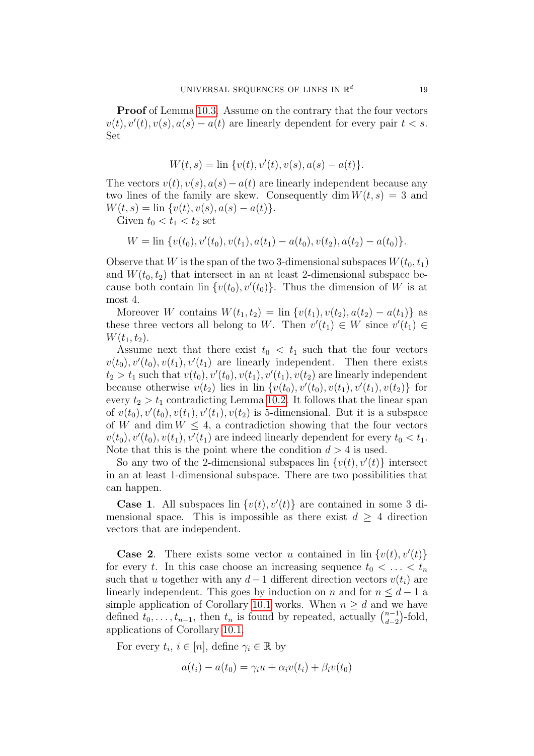Proof of Lemma [10.3.](#page-16-0) Assume on the contrary that the four vectors  $v(t)$ ,  $v'(t)$ ,  $v(s)$ ,  $a(s) - a(t)$  are linearly dependent for every pair  $t < s$ . Set

$$
W(t,s) = \ln \{v(t), v'(t), v(s), a(s) - a(t)\}.
$$

The vectors  $v(t)$ ,  $v(s)$ ,  $a(s) - a(t)$  are linearly independent because any two lines of the family are skew. Consequently dim  $W(t, s) = 3$  and  $W(t, s) = \lim \{v(t), v(s), a(s) - a(t)\}.$ 

Given  $t_0 < t_1 < t_2$  set

$$
W = \text{lin } \{v(t_0), v'(t_0), v(t_1), a(t_1) - a(t_0), v(t_2), a(t_2) - a(t_0)\}.
$$

Observe that W is the span of the two 3-dimensional subspaces  $W(t_0, t_1)$ and  $W(t_0, t_2)$  that intersect in an at least 2-dimensional subspace because both contain lin  $\{v(t_0), v'(t_0)\}$ . Thus the dimension of W is at most 4.

Moreover W contains  $W(t_1, t_2) = \lim \{v(t_1), v(t_2), a(t_2) - a(t_1)\}\$ as these three vectors all belong to W. Then  $v'(t_1) \in W$  since  $v'(t_1) \in$  $W(t_1, t_2)$ .

Assume next that there exist  $t_0 < t_1$  such that the four vectors  $v(t_0), v'(t_0), v(t_1), v'(t_1)$  are linearly independent. Then there exists  $t_2 > t_1$  such that  $v(t_0)$ ,  $v'(t_0)$ ,  $v(t_1)$ ,  $v'(t_1)$ ,  $v(t_2)$  are linearly independent because otherwise  $v(t_2)$  lies in lin  $\{v(t_0), v'(t_0), v(t_1), v'(t_1), v(t_2)\}$  for every  $t_2 > t_1$  contradicting Lemma [10.2.](#page-16-2) It follows that the linear span of  $v(t_0)$ ,  $v'(t_0)$ ,  $v(t_1)$ ,  $v'(t_1)$ ,  $v(t_2)$  is 5-dimensional. But it is a subspace of W and dim  $W \leq 4$ , a contradiction showing that the four vectors  $v(t_0), v'(t_0), v(t_1), v'(t_1)$  are indeed linearly dependent for every  $t_0 < t_1$ . Note that this is the point where the condition  $d > 4$  is used.

So any two of the 2-dimensional subspaces  $\text{lin } \{v(t), v'(t)\}\$  intersect in an at least 1-dimensional subspace. There are two possibilities that can happen.

**Case 1.** All subspaces lin  $\{v(t), v'(t)\}\$ are contained in some 3 dimensional space. This is impossible as there exist  $d \geq 4$  direction vectors that are independent.

**Case 2.** There exists some vector u contained in  $\{v(t), v'(t)\}$ for every t. In this case choose an increasing sequence  $t_0 < \ldots < t_n$ such that u together with any  $d-1$  different direction vectors  $v(t_i)$  are linearly independent. This goes by induction on n and for  $n \leq d-1$  a simple application of Corollary [10.1](#page-16-1) works. When  $n \geq d$  and we have defined  $t_0, \ldots, t_{n-1}$ , then  $t_n$  is found by repeated, actually  $\binom{n-1}{d-2}$  $\binom{n-1}{d-2}$ -fold, applications of Corollary [10.1.](#page-16-1)

For every  $t_i, i \in [n]$ , define  $\gamma_i \in \mathbb{R}$  by

$$
a(t_i) - a(t_0) = \gamma_i u + \alpha_i v(t_i) + \beta_i v(t_0)
$$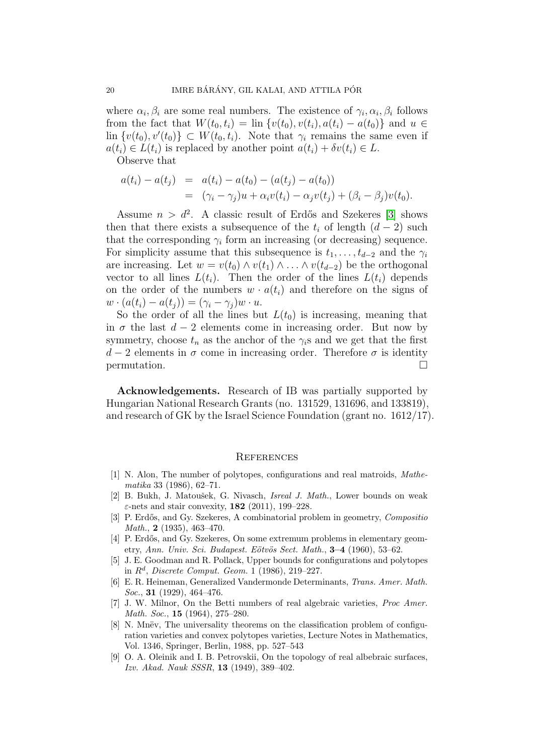where  $\alpha_i, \beta_i$  are some real numbers. The existence of  $\gamma_i, \alpha_i, \beta_i$  follows from the fact that  $W(t_0, t_i) = \text{lin } \{v(t_0), v(t_i), a(t_i) - a(t_0)\}\$ and  $u \in$  $\text{lin } \{v(t_0), v'(t_0)\} \subset W(t_0, t_i)$ . Note that  $\gamma_i$  remains the same even if  $a(t_i) \in L(t_i)$  is replaced by another point  $a(t_i) + \delta v(t_i) \in L$ .

Observe that

$$
a(t_i) - a(t_j) = a(t_i) - a(t_0) - (a(t_j) - a(t_0))
$$
  
= 
$$
(\gamma_i - \gamma_j)u + \alpha_i v(t_i) - \alpha_j v(t_j) + (\beta_i - \beta_j)v(t_0).
$$

Assume  $n > d^2$ . A classic result of Erdős and Szekeres [\[3\]](#page-19-5) shows then that there exists a subsequence of the  $t_i$  of length  $(d-2)$  such that the corresponding  $\gamma_i$  form an increasing (or decreasing) sequence. For simplicity assume that this subsequence is  $t_1, \ldots, t_{d-2}$  and the  $\gamma_i$ are increasing. Let  $w = v(t_0) \wedge v(t_1) \wedge \ldots \wedge v(t_{d-2})$  be the orthogonal vector to all lines  $L(t_i)$ . Then the order of the lines  $L(t_i)$  depends on the order of the numbers  $w \cdot a(t_i)$  and therefore on the signs of  $w \cdot (a(t_i) - a(t_j)) = (\gamma_i - \gamma_j) w \cdot u.$ 

So the order of all the lines but  $L(t_0)$  is increasing, meaning that in  $\sigma$  the last  $d-2$  elements come in increasing order. But now by symmetry, choose  $t_n$  as the anchor of the  $\gamma_i$ s and we get that the first  $d-2$  elements in  $\sigma$  come in increasing order. Therefore  $\sigma$  is identity permutation.

Acknowledgements. Research of IB was partially supported by Hungarian National Research Grants (no. 131529, 131696, and 133819), and research of GK by the Israel Science Foundation (grant no. 1612/17).

#### **REFERENCES**

- <span id="page-19-3"></span>[1] N. Alon, The number of polytopes, configurations and real matroids, Mathematika 33 (1986), 62–71.
- <span id="page-19-7"></span>[2] B. Bukh, J. Matoušek, G. Nivasch, *Isreal J. Math.*, Lower bounds on weak  $\varepsilon$ -nets and stair convexity, 182 (2011), 199–228.
- <span id="page-19-5"></span>[3] P. Erdős, and Gy. Szekeres, A combinatorial problem in geometry, Composition *Math.*, **2** (1935), 463-470.
- <span id="page-19-6"></span>[4] P. Erdős, and Gy. Szekeres, On some extremum problems in elementary geometry, Ann. Univ. Sci. Budapest. Eötvös Sect. Math.,  $3-4$  (1960), 53-62.
- <span id="page-19-2"></span>[5] J. E. Goodman and R. Pollack, Upper bounds for configurations and polytopes in  $R^d$ , Discrete Comput. Geom. 1 (1986), 219–227.
- <span id="page-19-8"></span>[6] E. R. Heineman, Generalized Vandermonde Determinants, Trans. Amer. Math. Soc., **31** (1929), 464-476.
- <span id="page-19-1"></span>[7] J. W. Milnor, On the Betti numbers of real algebraic varieties, Proc Amer. Math. Soc., 15 (1964), 275–280.
- <span id="page-19-4"></span>[8] N. Mnëv, The universality theorems on the classification problem of configuration varieties and convex polytopes varieties, Lecture Notes in Mathematics, Vol. 1346, Springer, Berlin, 1988, pp. 527–543
- <span id="page-19-0"></span>[9] O. A. Oleinik and I. B. Petrovskii, On the topology of real albebraic surfaces, Izv. Akad. Nauk SSSR, 13 (1949), 389–402.